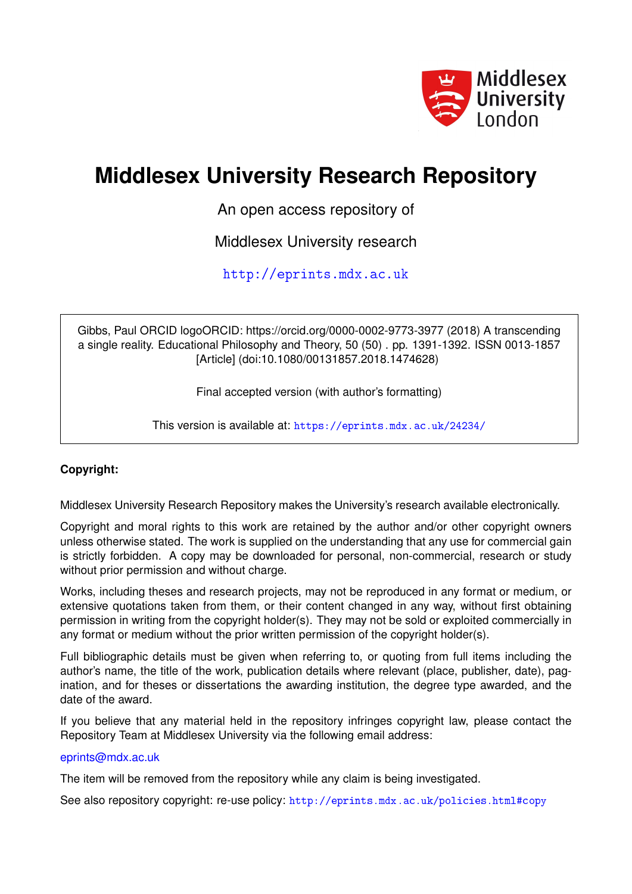

## **Middlesex University Research Repository**

An open access repository of

Middlesex University research

<http://eprints.mdx.ac.uk>

Gibbs, Paul ORCID logoORCID: https://orcid.org/0000-0002-9773-3977 (2018) A transcending a single reality. Educational Philosophy and Theory, 50 (50) . pp. 1391-1392. ISSN 0013-1857 [Article] (doi:10.1080/00131857.2018.1474628)

Final accepted version (with author's formatting)

This version is available at: <https://eprints.mdx.ac.uk/24234/>

## **Copyright:**

Middlesex University Research Repository makes the University's research available electronically.

Copyright and moral rights to this work are retained by the author and/or other copyright owners unless otherwise stated. The work is supplied on the understanding that any use for commercial gain is strictly forbidden. A copy may be downloaded for personal, non-commercial, research or study without prior permission and without charge.

Works, including theses and research projects, may not be reproduced in any format or medium, or extensive quotations taken from them, or their content changed in any way, without first obtaining permission in writing from the copyright holder(s). They may not be sold or exploited commercially in any format or medium without the prior written permission of the copyright holder(s).

Full bibliographic details must be given when referring to, or quoting from full items including the author's name, the title of the work, publication details where relevant (place, publisher, date), pagination, and for theses or dissertations the awarding institution, the degree type awarded, and the date of the award.

If you believe that any material held in the repository infringes copyright law, please contact the Repository Team at Middlesex University via the following email address:

## [eprints@mdx.ac.uk](mailto:eprints@mdx.ac.uk)

The item will be removed from the repository while any claim is being investigated.

See also repository copyright: re-use policy: <http://eprints.mdx.ac.uk/policies.html#copy>